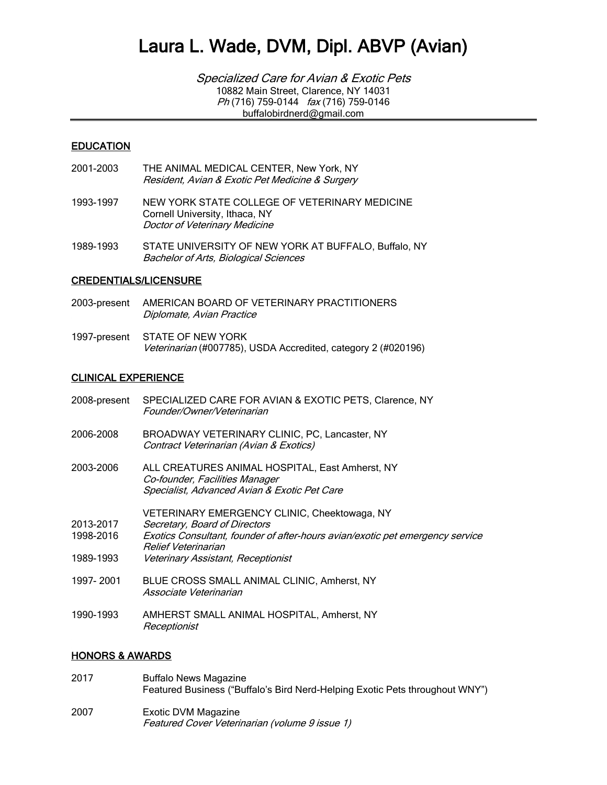Specialized Care for Avian & Exotic Pets 10882 Main Street, Clarence, NY 14031 Ph (716) 759-0144 fax (716) 759-0146 buffalobirdnerd@gmail.com

#### EDUCATION

- 2001-2003 THE ANIMAL MEDICAL CENTER, New York, NY Resident, Avian & Exotic Pet Medicine & Surgery
- 1993-1997 NEW YORK STATE COLLEGE OF VETERINARY MEDICINE Cornell University, Ithaca, NY Doctor of Veterinary Medicine
- 1989-1993 STATE UNIVERSITY OF NEW YORK AT BUFFALO, Buffalo, NY Bachelor of Arts, Biological Sciences

#### CREDENTIALS/LICENSURE

- 2003-present AMERICAN BOARD OF VETERINARY PRACTITIONERS Diplomate, Avian Practice
- 1997-present STATE OF NEW YORK Veterinarian (#007785), USDA Accredited, category 2 (#020196)

#### CLINICAL EXPERIENCE

| 2008-present                        | SPECIALIZED CARE FOR AVIAN & EXOTIC PETS, Clarence, NY<br>Founder/Owner/Veterinarian                                                                                                                                        |
|-------------------------------------|-----------------------------------------------------------------------------------------------------------------------------------------------------------------------------------------------------------------------------|
| 2006-2008                           | BROADWAY VETERINARY CLINIC, PC, Lancaster, NY<br>Contract Veterinarian (Avian & Exotics)                                                                                                                                    |
| 2003-2006                           | ALL CREATURES ANIMAL HOSPITAL, East Amherst, NY<br>Co-founder, Facilities Manager<br>Specialist, Advanced Avian & Exotic Pet Care                                                                                           |
| 2013-2017<br>1998-2016<br>1989-1993 | VETERINARY EMERGENCY CLINIC, Cheektowaga, NY<br>Secretary, Board of Directors<br>Exotics Consultant, founder of after-hours avian/exotic pet emergency service<br>Relief Veterinarian<br>Veterinary Assistant, Receptionist |
| 1997-2001                           | BLUE CROSS SMALL ANIMAL CLINIC, Amherst, NY<br>Associate Veterinarian                                                                                                                                                       |
| 1990-1993                           | AMHERST SMALL ANIMAL HOSPITAL, Amherst, NY<br>Receptionist                                                                                                                                                                  |
|                                     |                                                                                                                                                                                                                             |

#### HONORS & AWARDS

2017 Buffalo News Magazine Featured Business ("Buffalo's Bird Nerd-Helping Exotic Pets throughout WNY") 2007 Exotic DVM Magazine Featured Cover Veterinarian (volume 9 issue 1)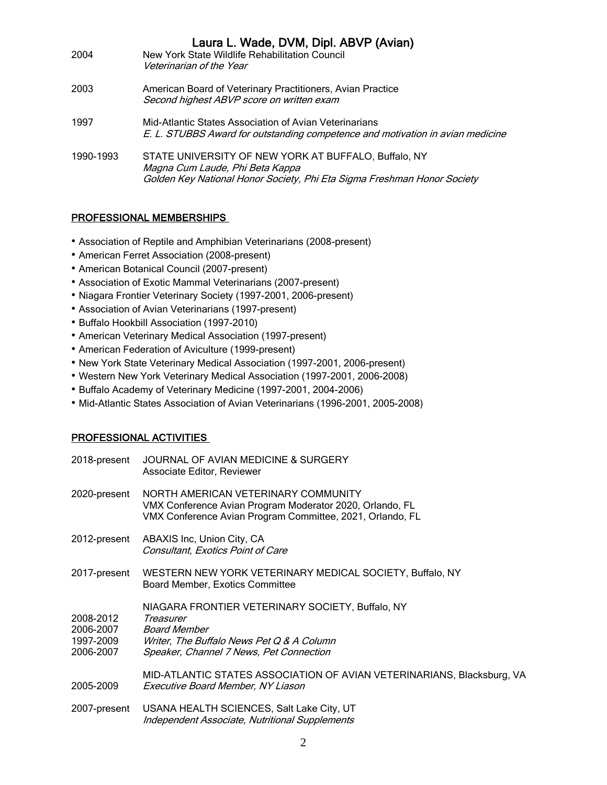| 2004      | Laura L. Wade, DVM, Dipl. ABVP (Avian)<br>New York State Wildlife Rehabilitation Council<br>Veterinarian of the Year                                               |
|-----------|--------------------------------------------------------------------------------------------------------------------------------------------------------------------|
| 2003      | American Board of Veterinary Practitioners, Avian Practice<br>Second highest ABVP score on written exam                                                            |
| 1997      | Mid-Atlantic States Association of Avian Veterinarians<br>E. L. STUBBS Award for outstanding competence and motivation in avian medicine                           |
| 1990-1993 | STATE UNIVERSITY OF NEW YORK AT BUFFALO, Buffalo, NY<br>Magna Cum Laude, Phi Beta Kappa<br>Golden Key National Honor Society, Phi Eta Sigma Freshman Honor Society |

### PROFESSIONAL MEMBERSHIPS

- Association of Reptile and Amphibian Veterinarians (2008-present)
- American Ferret Association (2008-present)
- American Botanical Council (2007-present)
- Association of Exotic Mammal Veterinarians (2007-present)
- Niagara Frontier Veterinary Society (1997-2001, 2006-present)
- Association of Avian Veterinarians (1997-present)
- Buffalo Hookbill Association (1997-2010)
- American Veterinary Medical Association (1997-present)
- American Federation of Aviculture (1999-present)
- New York State Veterinary Medical Association (1997-2001, 2006-present)
- Western New York Veterinary Medical Association (1997-2001, 2006-2008)
- Buffalo Academy of Veterinary Medicine (1997-2001, 2004-2006)
- Mid-Atlantic States Association of Avian Veterinarians (1996-2001, 2005-2008)

### PROFESSIONAL ACTIVITIES

| 2018-present                                     | JOURNAL OF AVIAN MEDICINE & SURGERY<br>Associate Editor, Reviewer                                                                                                            |
|--------------------------------------------------|------------------------------------------------------------------------------------------------------------------------------------------------------------------------------|
| 2020-present                                     | NORTH AMERICAN VETERINARY COMMUNITY<br>VMX Conference Avian Program Moderator 2020, Orlando, FL<br>VMX Conference Avian Program Committee, 2021, Orlando, FL                 |
| 2012-present                                     | ABAXIS Inc, Union City, CA<br>Consultant, Exotics Point of Care                                                                                                              |
| 2017-present                                     | WESTERN NEW YORK VETERINARY MEDICAL SOCIETY, Buffalo, NY<br><b>Board Member, Exotics Committee</b>                                                                           |
| 2008-2012<br>2006-2007<br>1997-2009<br>2006-2007 | NIAGARA FRONTIER VETERINARY SOCIETY, Buffalo, NY<br>Treasurer<br><b>Board Member</b><br>Writer, The Buffalo News Pet Q & A Column<br>Speaker, Channel 7 News, Pet Connection |
| 2005-2009                                        | MID-ATLANTIC STATES ASSOCIATION OF AVIAN VETERINARIANS, Blacksburg, VA<br>Executive Board Member, NY Liason                                                                  |
| 2007-present                                     | USANA HEALTH SCIENCES, Salt Lake City, UT<br>Independent Associate, Nutritional Supplements                                                                                  |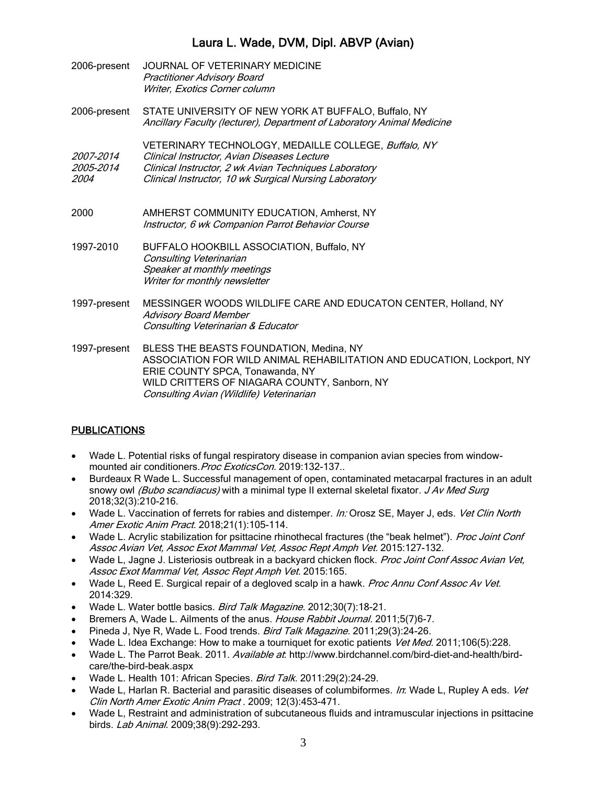| 2006-present                                 | JOURNAL OF VETERINARY MEDICINE<br><b>Practitioner Advisory Board</b><br>Writer, Exotics Corner column                                                                                                                                            |
|----------------------------------------------|--------------------------------------------------------------------------------------------------------------------------------------------------------------------------------------------------------------------------------------------------|
| 2006-present                                 | STATE UNIVERSITY OF NEW YORK AT BUFFALO, Buffalo, NY<br>Ancillary Faculty (lecturer), Department of Laboratory Animal Medicine                                                                                                                   |
| <i>2007-2014</i><br>2005-2014<br><i>2004</i> | VETERINARY TECHNOLOGY, MEDAILLE COLLEGE, Buffalo, NY<br>Clinical Instructor, Avian Diseases Lecture<br>Clinical Instructor, 2 wk Avian Techniques Laboratory<br>Clinical Instructor, 10 wk Surgical Nursing Laboratory                           |
| 2000                                         | AMHERST COMMUNITY EDUCATION, Amherst, NY<br>Instructor, 6 wk Companion Parrot Behavior Course                                                                                                                                                    |
| 1997-2010                                    | BUFFALO HOOKBILL ASSOCIATION, Buffalo, NY<br>Consulting Veterinarian<br>Speaker at monthly meetings<br>Writer for monthly newsletter                                                                                                             |
| 1997-present                                 | MESSINGER WOODS WILDLIFE CARE AND EDUCATON CENTER, Holland, NY<br><b>Advisory Board Member</b><br>Consulting Veterinarian & Educator                                                                                                             |
| 1997-present                                 | BLESS THE BEASTS FOUNDATION, Medina, NY<br>ASSOCIATION FOR WILD ANIMAL REHABILITATION AND EDUCATION, Lockport, NY<br>ERIE COUNTY SPCA, Tonawanda, NY<br>WILD CRITTERS OF NIAGARA COUNTY, Sanborn, NY<br>Consulting Avian (Wildlife) Veterinarian |

### **PUBLICATIONS**

- Wade L. Potential risks of fungal respiratory disease in companion avian species from windowmounted air conditioners. Proc ExoticsCon. 2019:132-137..
- Burdeaux R Wade L. Successful management of open, contaminated metacarpal fractures in an adult snowy owl (Bubo scandiacus) with a minimal type II external skeletal fixator. J Av Med Surg 2018;32(3):210-216.
- Wade L. Vaccination of ferrets for rabies and distemper. In: Orosz SE, Mayer J, eds. Vet Clin North Amer Exotic Anim Pract. 2018;21(1):105-114.
- Wade L. Acrylic stabilization for psittacine rhinothecal fractures (the "beak helmet"). Proc Joint Conf Assoc Avian Vet, Assoc Exot Mammal Vet, Assoc Rept Amph Vet. 2015:127-132.
- Wade L, Jagne J. Listeriosis outbreak in a backyard chicken flock. Proc Joint Conf Assoc Avian Vet, Assoc Exot Mammal Vet, Assoc Rept Amph Vet. 2015:165.
- Wade L, Reed E. Surgical repair of a degloved scalp in a hawk. Proc Annu Conf Assoc Av Vet. 2014:329.
- Wade L. Water bottle basics. Bird Talk Magazine. 2012;30(7):18-21.
- Bremers A, Wade L. Ailments of the anus. House Rabbit Journal. 2011;5(7)6-7.
- Pineda J, Nye R, Wade L. Food trends. Bird Talk Magazine. 2011;29(3):24-26.
- Wade L. Idea Exchange: How to make a tourniquet for exotic patients Vet Med. 2011;106(5):228.
- Wade L. The Parrot Beak. 2011. Available at. http://www.birdchannel.com/bird-diet-and-health/birdcare/the-bird-beak.aspx
- Wade L. Health 101: African Species. Bird Talk. 2011:29(2):24-29.
- Wade L, Harlan R. Bacterial and parasitic diseases of columbiformes. In: Wade L, Rupley A eds. Vet Clin North Amer Exotic Anim Pract . 2009; 12(3):453-471.
- Wade L, Restraint and administration of subcutaneous fluids and intramuscular injections in psittacine birds. Lab Animal. 2009;38(9):292-293.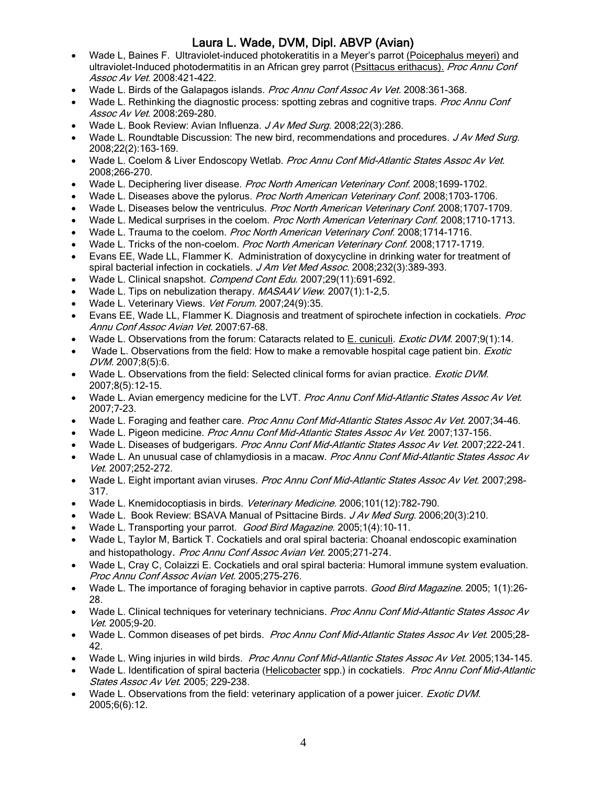- Wade L. Baines F. Ultraviolet-induced photokeratitis in a Meyer's parrot (Poicephalus meyeri) and ultraviolet-Induced photodermatitis in an African grey parrot (Psittacus erithacus). Proc Annu Conf Assoc Av Vet. 2008:421-422.
- Wade L. Birds of the Galapagos islands. Proc Annu Conf Assoc Av Vet. 2008:361-368.
- Wade L. Rethinking the diagnostic process: spotting zebras and cognitive traps. Proc Annu Conf Assoc Av Vet. 2008:269-280.
- Wade L. Book Review: Avian Influenza. J Av Med Surg. 2008;22(3):286.
- Wade L. Roundtable Discussion: The new bird, recommendations and procedures. J Av Med Surg. 2008;22(2):163-169.
- Wade L. Coelom & Liver Endoscopy Wetlab. Proc Annu Conf Mid-Atlantic States Assoc Av Vet. 2008;266-270.
- Wade L. Deciphering liver disease. Proc North American Veterinary Conf. 2008;1699-1702.
- Wade L. Diseases above the pylorus. Proc North American Veterinary Conf. 2008;1703-1706.
- Wade L. Diseases below the ventriculus. Proc North American Veterinary Conf. 2008;1707-1709.
- Wade L. Medical surprises in the coelom. Proc North American Veterinary Conf. 2008:1710-1713.
- Wade L. Trauma to the coelom. Proc North American Veterinary Conf. 2008;1714-1716.
- Wade L. Tricks of the non-coelom. Proc North American Veterinary Conf. 2008;1717-1719.
- Evans EE, Wade LL, Flammer K. Administration of doxycycline in drinking water for treatment of spiral bacterial infection in cockatiels. J Am Vet Med Assoc. 2008;232(3):389-393.
- Wade L. Clinical snapshot. Compend Cont Edu. 2007;29(11):691-692.
- Wade L. Tips on nebulization therapy. MASAAV View. 2007(1):1-2,5.
- Wade L. Veterinary Views. Vet Forum. 2007;24(9):35.
- Evans EE, Wade LL, Flammer K. Diagnosis and treatment of spirochete infection in cockatiels. Proc Annu Conf Assoc Avian Vet. 2007:67-68.
- Wade L. Observations from the forum: Cataracts related to E. cuniculi. Exotic DVM. 2007;9(1):14.
- Wade L. Observations from the field: How to make a removable hospital cage patient bin. *Exotic* DVM. 2007;8(5):6.
- Wade L. Observations from the field: Selected clinical forms for avian practice. Exotic DVM. 2007;8(5):12-15.
- Wade L. Avian emergency medicine for the LVT. Proc Annu Conf Mid-Atlantic States Assoc Av Vet. 2007;7-23.
- Wade L. Foraging and feather care. Proc Annu Conf Mid-Atlantic States Assoc Av Vet. 2007:34-46.
- Wade L. Pigeon medicine. Proc Annu Conf Mid-Atlantic States Assoc Av Vet. 2007;137-156.
- Wade L. Diseases of budgerigars. Proc Annu Conf Mid-Atlantic States Assoc Av Vet. 2007:222-241.
- Wade L. An unusual case of chlamydiosis in a macaw. Proc Annu Conf Mid-Atlantic States Assoc Av Vet. 2007;252-272.
- Wade L. Eight important avian viruses. Proc Annu Conf Mid-Atlantic States Assoc Av Vet. 2007;298-317.
- Wade L. Knemidocoptiasis in birds. Veterinary Medicine. 2006;101(12):782-790.
- Wade L. Book Review: BSAVA Manual of Psittacine Birds. JAv Med Sura. 2006:20(3):210.
- Wade L. Transporting your parrot. Good Bird Magazine. 2005;1(4):10-11.
- Wade L, Taylor M, Bartick T. Cockatiels and oral spiral bacteria: Choanal endoscopic examination and histopathology. Proc Annu Conf Assoc Avian Vet. 2005;271-274.
- Wade L, Cray C, Colaizzi E. Cockatiels and oral spiral bacteria: Humoral immune system evaluation. Proc Annu Conf Assoc Avian Vet. 2005;275-276.
- Wade L. The importance of foraging behavior in captive parrots. Good Bird Magazine. 2005; 1(1):26-28.
- Wade L. Clinical techniques for veterinary technicians. Proc Annu Conf Mid-Atlantic States Assoc Av Vet. 2005;9-20.
- Wade L. Common diseases of pet birds. Proc Annu Conf Mid-Atlantic States Assoc Av Vet. 2005;28-42.
- Wade L. Wing injuries in wild birds. Proc Annu Conf Mid-Atlantic States Assoc Av Vet. 2005;134-145.
- Wade L. Identification of spiral bacteria (Helicobacter spp.) in cockatiels. Proc Annu Conf Mid-Atlantic States Assoc Av Vet. 2005; 229-238.
- Wade L. Observations from the field: veterinary application of a power juicer. Exotic DVM. 2005;6(6):12.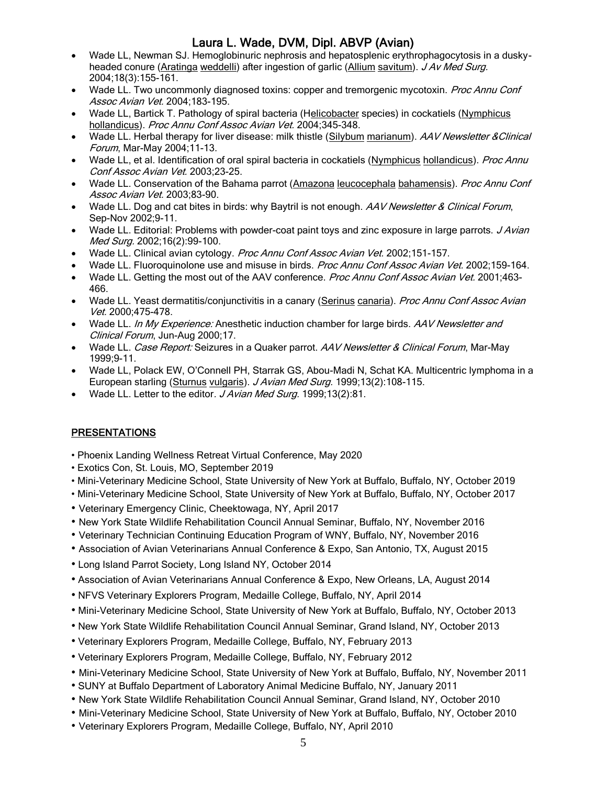- Wade LL, Newman SJ. Hemoglobinuric nephrosis and hepatosplenic erythrophagocytosis in a duskyheaded conure (Aratinga weddelli) after ingestion of garlic (Allium savitum). J Av Med Surg. 2004;18(3):155-161.
- Wade LL. Two uncommonly diagnosed toxins: copper and tremorgenic mycotoxin. Proc Annu Conf Assoc Avian Vet. 2004;183-195.
- Wade LL, Bartick T. Pathology of spiral bacteria (Helicobacter species) in cockatiels (Nymphicus hollandicus). Proc Annu Conf Assoc Avian Vet. 2004;345-348.
- Wade LL. Herbal therapy for liver disease: milk thistle (Silybum marianum). AAV Newsletter & Clinical Forum, Mar-May 2004;11-13.
- Wade LL, et al. Identification of oral spiral bacteria in cockatiels (Nymphicus hollandicus). Proc Annu Conf Assoc Avian Vet. 2003;23-25.
- Wade LL. Conservation of the Bahama parrot (Amazona leucocephala bahamensis). Proc Annu Conf Assoc Avian Vet. 2003;83-90.
- Wade LL. Dog and cat bites in birds: why Baytril is not enough. AAV Newsletter & Clinical Forum, Sep-Nov 2002;9-11.
- Wade LL. Editorial: Problems with powder-coat paint toys and zinc exposure in large parrots. *J Avian* Med Surg. 2002;16(2):99-100.
- Wade LL. Clinical avian cytology. Proc Annu Conf Assoc Avian Vet. 2002;151-157.
- Wade LL. Fluoroquinolone use and misuse in birds. Proc Annu Conf Assoc Avian Vet. 2002;159-164.
- Wade LL. Getting the most out of the AAV conference. Proc Annu Conf Assoc Avian Vet. 2001;463-466.
- Wade LL. Yeast dermatitis/conjunctivitis in a canary (Serinus canaria). Proc Annu Conf Assoc Avian Vet. 2000;475-478.
- Wade LL. In My Experience: Anesthetic induction chamber for large birds. AAV Newsletter and Clinical Forum, Jun-Aug 2000;17.
- Wade LL. Case Report: Seizures in a Quaker parrot. AAV Newsletter & Clinical Forum, Mar-May 1999;9-11.
- Wade LL, Polack EW, O'Connell PH, Starrak GS, Abou-Madi N, Schat KA. Multicentric lymphoma in a European starling (Sturnus vulgaris). J Avian Med Surg. 1999;13(2):108-115.
- Wade LL. Letter to the editor. J Avian Med Surg. 1999;13(2):81.

### **PRESENTATIONS**

- Phoenix Landing Wellness Retreat Virtual Conference, May 2020
- Exotics Con, St. Louis, MO, September 2019
- Mini-Veterinary Medicine School, State University of New York at Buffalo, Buffalo, NY, October 2019
- Mini-Veterinary Medicine School, State University of New York at Buffalo, Buffalo, NY, October 2017
- Veterinary Emergency Clinic, Cheektowaga, NY, April 2017
- New York State Wildlife Rehabilitation Council Annual Seminar, Buffalo, NY, November 2016
- Veterinary Technician Continuing Education Program of WNY, Buffalo, NY, November 2016
- Association of Avian Veterinarians Annual Conference & Expo, San Antonio, TX, August 2015
- Long Island Parrot Society, Long Island NY, October 2014
- Association of Avian Veterinarians Annual Conference & Expo, New Orleans, LA, August 2014
- NFVS Veterinary Explorers Program, Medaille College, Buffalo, NY, April 2014
- Mini-Veterinary Medicine School, State University of New York at Buffalo, Buffalo, NY, October 2013
- New York State Wildlife Rehabilitation Council Annual Seminar, Grand Island, NY, October 2013
- Veterinary Explorers Program, Medaille College, Buffalo, NY, February 2013
- Veterinary Explorers Program, Medaille College, Buffalo, NY, February 2012
- Mini-Veterinary Medicine School, State University of New York at Buffalo, Buffalo, NY, November 2011
- SUNY at Buffalo Department of Laboratory Animal Medicine Buffalo, NY, January 2011
- New York State Wildlife Rehabilitation Council Annual Seminar, Grand Island, NY, October 2010
- Mini-Veterinary Medicine School, State University of New York at Buffalo, Buffalo, NY, October 2010
- Veterinary Explorers Program, Medaille College, Buffalo, NY, April 2010